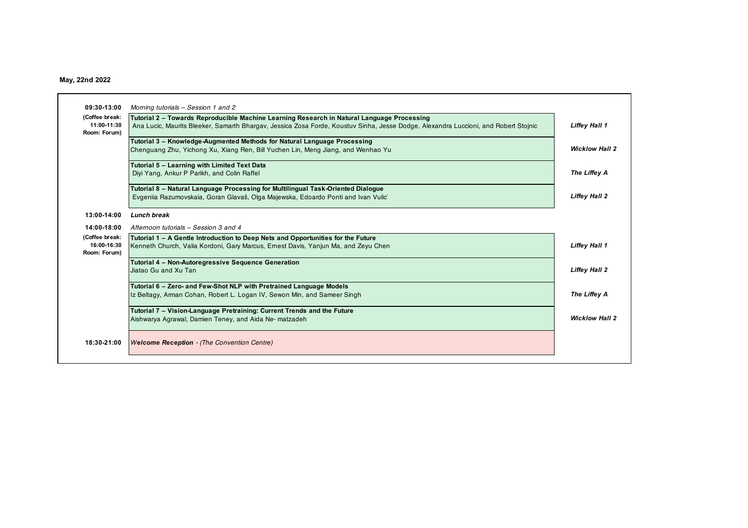# **May, 22nd 2022**

| (Coffee break:              | Tutorial 2 - Towards Reproducible Machine Learning Research in Natural Language Processing                                          |                       |
|-----------------------------|-------------------------------------------------------------------------------------------------------------------------------------|-----------------------|
| 11:00-11:30<br>Room: Forum) | Ana Lucic, Maurits Bleeker, Samarth Bhargay, Jessica Zosa Forde, Koustuy Sinha, Jesse Dodge, Alexandra Luccioni, and Robert Stojnic | Liffey Hall 1         |
|                             | Tutorial 3 - Knowledge-Augmented Methods for Natural Language Processing                                                            |                       |
|                             | Chenguang Zhu, Yichong Xu, Xiang Ren, Bill Yuchen Lin, Meng Jiang, and Wenhao Yu                                                    | <b>Wicklow Hall 2</b> |
|                             | Tutorial 5 - Learning with Limited Text Data                                                                                        |                       |
|                             | Diyi Yang, Ankur P Parikh, and Colin Raffel                                                                                         | The Liffey A          |
|                             | Tutorial 8 – Natural Language Processing for Multilingual Task-Oriented Dialogue                                                    |                       |
|                             | Evgeniia Razumovskaia, Goran Glavaš, Olga Majewska, Edoardo Ponti and Ivan Vulić                                                    | <b>Liffey Hall 2</b>  |
| 13:00-14:00                 | Lunch break                                                                                                                         |                       |
| 14:00-18:00                 | Afternoon tutorials - Session 3 and 4                                                                                               |                       |
| (Coffee break:              | Tutorial 1 – A Gentle Introduction to Deep Nets and Opportunities for the Future                                                    |                       |
| 16:00-16:30<br>Room: Forum) | Kenneth Church, Valia Kordoni, Gary Marcus, Ernest Davis, Yanjun Ma, and Zeyu Chen                                                  | <b>Liffey Hall 1</b>  |
|                             | <b>Tutorial 4 - Non-Autoregressive Sequence Generation</b>                                                                          |                       |
|                             | Jiatao Gu and Xu Tan                                                                                                                | <b>Liffey Hall 2</b>  |
|                             | Tutorial 6 - Zero- and Few-Shot NLP with Pretrained Language Models                                                                 |                       |
|                             | Iz Beltagy, Arman Cohan, Robert L. Logan IV, Sewon Min, and Sameer Singh                                                            | The Liffey A          |
|                             | Tutorial 7 – Vision-Language Pretraining: Current Trends and the Future                                                             |                       |
|                             | Aishwarya Agrawal, Damien Teney, and Aida Ne-matzadeh                                                                               | <b>Wicklow Hall 2</b> |
|                             |                                                                                                                                     |                       |
|                             | <b>Welcome Reception - (The Convention Centre)</b>                                                                                  |                       |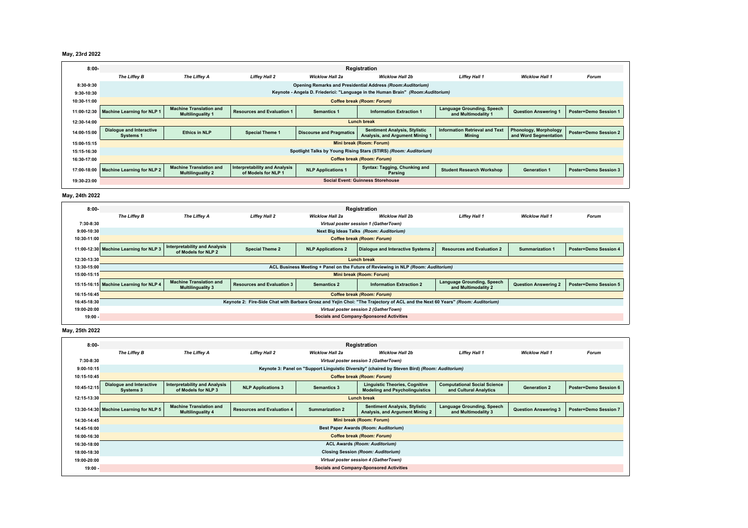| May, 23rd 2022 |  |  |
|----------------|--|--|
|----------------|--|--|

| $8:00 -$    | Registration                                                                    |                                                            |                                                             |                                 |                                                                         |                                                          |                                                       |                              |
|-------------|---------------------------------------------------------------------------------|------------------------------------------------------------|-------------------------------------------------------------|---------------------------------|-------------------------------------------------------------------------|----------------------------------------------------------|-------------------------------------------------------|------------------------------|
|             | The Liffey B                                                                    | The Liffey A                                               | <b>Liffey Hall 2</b>                                        | <b>Wicklow Hall 2a</b>          | <b>Wicklow Hall 2b</b>                                                  | <b>Liffey Hall 1</b>                                     | <b>Wicklow Hall 1</b>                                 | <b>Forum</b>                 |
| 8:30-9:30   | Opening Remarks and Presidential Address (Room:Auditorium)                      |                                                            |                                                             |                                 |                                                                         |                                                          |                                                       |                              |
| 9:30-10:30  | Keynote - Angela D. Friederici: "Language in the Human Brain" (Room:Auditorium) |                                                            |                                                             |                                 |                                                                         |                                                          |                                                       |                              |
| 10:30-11:00 | <b>Coffee break (Room: Forum)</b>                                               |                                                            |                                                             |                                 |                                                                         |                                                          |                                                       |                              |
| 11:00-12:30 | <b>Machine Learning for NLP 1</b>                                               | <b>Machine Translation and</b><br><b>Multilinguality 1</b> | <b>Resources and Evaluation 1</b>                           | <b>Semantics 1</b>              | <b>Information Extraction 1</b>                                         | <b>Language Grounding, Speech</b><br>and Multimodality 1 | <b>Question Answering 1</b>                           | <b>Poster+Demo Session 1</b> |
| 12:30-14:00 | <b>Lunch break</b>                                                              |                                                            |                                                             |                                 |                                                                         |                                                          |                                                       |                              |
| 14:00-15:00 | <b>Dialogue and Interactive</b><br>Systems 1                                    | <b>Ethics in NLP</b>                                       | <b>Special Theme 1</b>                                      | <b>Discourse and Pragmatics</b> | <b>Sentiment Analysis, Stylistic</b><br>Analysis, and Argument Mining 1 | <b>Information Retrieval and Text</b><br>Minina          | <b>Phonology, Morphology</b><br>and Word Seamentation | <b>Poster+Demo Session 2</b> |
| 15:00-15:15 | Mini break (Room: Forum)                                                        |                                                            |                                                             |                                 |                                                                         |                                                          |                                                       |                              |
| 15:15-16:30 | Spotlight Talks by Young Rising Stars (STIRS) (Room: Auditorium)                |                                                            |                                                             |                                 |                                                                         |                                                          |                                                       |                              |
| 16:30-17:00 | Coffee break (Room: Forum)                                                      |                                                            |                                                             |                                 |                                                                         |                                                          |                                                       |                              |
| 17:00-18:00 | <b>Machine Learning for NLP 2</b>                                               | <b>Machine Translation and</b><br><b>Multilinguality 2</b> | <b>Interpretability and Analysis</b><br>of Models for NLP 1 | <b>NLP Applications 1</b>       | <b>Syntax: Tagging, Chunking and</b><br>Parsing                         | <b>Student Research Workshop</b>                         | <b>Generation 1</b>                                   | <b>Poster+Demo Session 3</b> |
| 19:30-23:00 | <b>Social Event: Guinness Storehouse</b>                                        |                                                            |                                                             |                                 |                                                                         |                                                          |                                                       |                              |

#### **May, 24th 2022**



#### **May, 25th 2022**

| $8:00-$      | Registration                                    |                                                                                                |                                   |                        |                                                                                |                                                               |                             |                              |  |
|--------------|-------------------------------------------------|------------------------------------------------------------------------------------------------|-----------------------------------|------------------------|--------------------------------------------------------------------------------|---------------------------------------------------------------|-----------------------------|------------------------------|--|
|              | The Liffey B                                    | The Liffey A                                                                                   | <b>Liffey Hall 2</b>              | <b>Wicklow Hall 2a</b> | <b>Wicklow Hall 2b</b>                                                         | <b>Liffey Hall 1</b>                                          | <b>Wicklow Hall 1</b>       | Forum                        |  |
| 7:30-8:30    |                                                 | Virtual poster session 3 (GatherTown)                                                          |                                   |                        |                                                                                |                                                               |                             |                              |  |
| $9:00-10:15$ |                                                 | Keynote 3: Panel on "Support Linguistic Diversity" (chaired by Steven Bird) (Room: Auditorium) |                                   |                        |                                                                                |                                                               |                             |                              |  |
| 10:15-10:45  |                                                 | <b>Coffee break (Room: Forum)</b>                                                              |                                   |                        |                                                                                |                                                               |                             |                              |  |
| 10:45-12:15  | <b>Dialogue and Interactive</b><br>Systems 3    | <b>Interpretability and Analysis</b><br>of Models for NLP 3                                    | <b>NLP Applications 3</b>         | <b>Semantics 3</b>     | <b>Linguistic Theories, Cognitive</b><br><b>Modeling and Psycholinguistics</b> | <b>Computational Social Science</b><br>and Cultural Analytics | <b>Generation 2</b>         | Poster+Demo Session 6        |  |
| 12:15-13:30  | <b>Lunch break</b>                              |                                                                                                |                                   |                        |                                                                                |                                                               |                             |                              |  |
|              | 13:30-14:30 Machine Learning for NLP 5          | <b>Machine Translation and</b><br><b>Multilinguality 4</b>                                     | <b>Resources and Evaluation 4</b> | <b>Summarization 2</b> | <b>Sentiment Analysis, Stylistic</b><br>Analysis, and Argument Mining 2        | Language Grounding, Speech<br>and Multimodality 3             | <b>Question Answering 3</b> | <b>Poster+Demo Session 7</b> |  |
| 14:30-14:45  | Mini break (Room: Forum)                        |                                                                                                |                                   |                        |                                                                                |                                                               |                             |                              |  |
| 14:45-16:00  | Best Paper Awards (Room: Auditorium)            |                                                                                                |                                   |                        |                                                                                |                                                               |                             |                              |  |
| 16:00-16:30  | Coffee break (Room: Forum)                      |                                                                                                |                                   |                        |                                                                                |                                                               |                             |                              |  |
| 16:30-18:00  | <b>ACL Awards (Room: Auditorium)</b>            |                                                                                                |                                   |                        |                                                                                |                                                               |                             |                              |  |
| 18:00-18:30  | <b>Closing Session (Room: Auditorium)</b>       |                                                                                                |                                   |                        |                                                                                |                                                               |                             |                              |  |
| 19:00-20:00  | Virtual poster session 4 (GatherTown)           |                                                                                                |                                   |                        |                                                                                |                                                               |                             |                              |  |
| $19:00 -$    | <b>Socials and Company-Sponsored Activities</b> |                                                                                                |                                   |                        |                                                                                |                                                               |                             |                              |  |